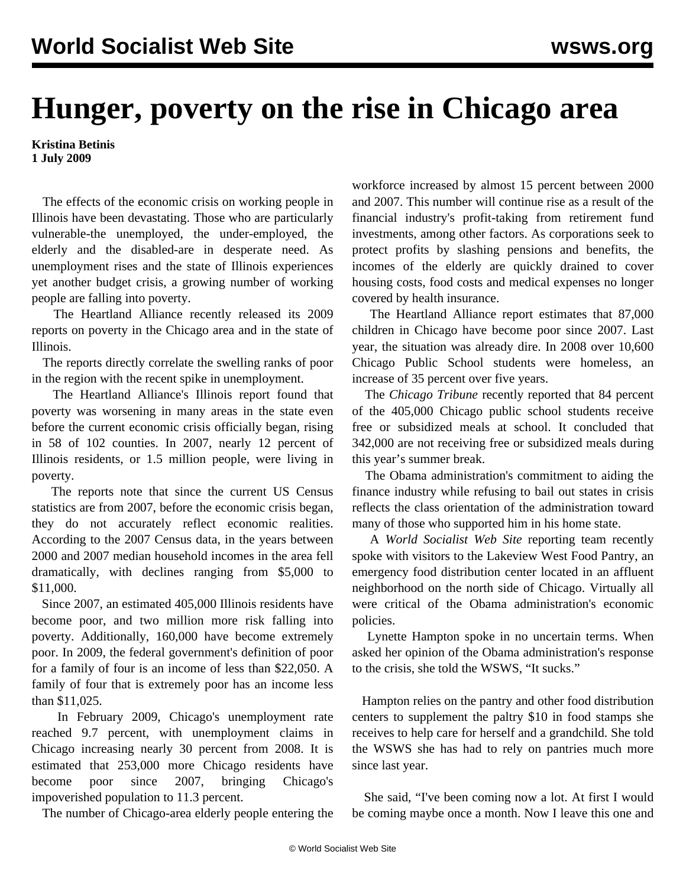## **Hunger, poverty on the rise in Chicago area**

**Kristina Betinis 1 July 2009**

 The effects of the economic crisis on working people in Illinois have been devastating. Those who are particularly vulnerable-the unemployed, the under-employed, the elderly and the disabled-are in desperate need. As unemployment rises and the state of Illinois experiences yet another budget crisis, a growing number of working people are falling into poverty.

 The Heartland Alliance recently released its 2009 [reports](http://www.heartlandalliance.org/povertyreport/2009-report-poverty.html) on poverty in the Chicago area and in the state of Illinois.

 The reports directly correlate the swelling ranks of poor in the region with the recent spike in unemployment.

 The Heartland Alliance's Illinois report found that poverty was worsening in many areas in the state even before the current economic crisis officially began, rising in 58 of 102 counties. In 2007, nearly 12 percent of Illinois residents, or 1.5 million people, were living in poverty.

 The reports note that since the current US Census statistics are from 2007, before the economic crisis began, they do not accurately reflect economic realities. According to the 2007 Census data, in the years between 2000 and 2007 median household incomes in the area fell dramatically, with declines ranging from \$5,000 to \$11,000.

 Since 2007, an estimated 405,000 Illinois residents have become poor, and two million more risk falling into poverty. Additionally, 160,000 have become extremely poor. In 2009, the federal government's definition of poor for a family of four is an income of less than \$22,050. A family of four that is extremely poor has an income less than \$11,025.

 In February 2009, Chicago's unemployment rate reached 9.7 percent, with unemployment claims in Chicago increasing nearly 30 percent from 2008. It is estimated that 253,000 more Chicago residents have become poor since 2007, bringing Chicago's impoverished population to 11.3 percent.

The number of Chicago-area elderly people entering the

workforce increased by almost 15 percent between 2000 and 2007. This number will continue rise as a result of the financial industry's profit-taking from retirement fund investments, among other factors. As corporations seek to protect profits by slashing pensions and benefits, the incomes of the elderly are quickly drained to cover housing costs, food costs and medical expenses no longer covered by health insurance.

 The Heartland Alliance report estimates that 87,000 children in Chicago have become poor since 2007. Last year, the situation was already dire. In 2008 over 10,600 Chicago Public School students were homeless, an increase of 35 percent over five years.

 The *Chicago Tribune* recently reported that 84 percent of the 405,000 Chicago public school students receive free or subsidized meals at school. It concluded that 342,000 are not receiving free or subsidized meals during this year's summer break.

 The Obama administration's commitment to aiding the finance industry while refusing to bail out states in crisis reflects the class orientation of the administration toward many of those who supported him in his home state.

 A *World Socialist Web Site* reporting team recently spoke with visitors to the Lakeview West Food Pantry, an emergency food distribution center located in an affluent neighborhood on the north side of Chicago. Virtually all were critical of the Obama administration's economic policies.

 Lynette Hampton spoke in no uncertain terms. When asked her opinion of the Obama administration's response to the crisis, she told the WSWS, "It sucks."

 Hampton relies on the pantry and other food distribution centers to supplement the paltry \$10 in food stamps she receives to help care for herself and a grandchild. She told the WSWS she has had to rely on pantries much more since last year.

 She said, "I've been coming now a lot. At first I would be coming maybe once a month. Now I leave this one and